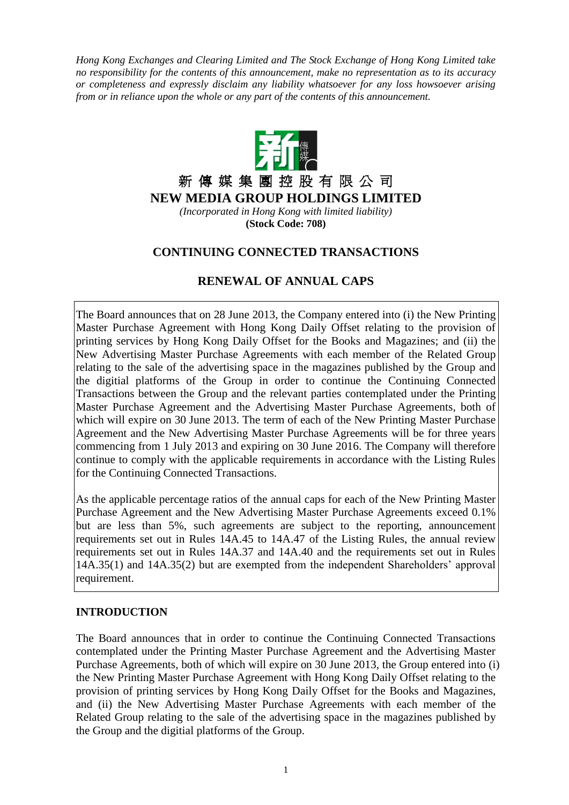*Hong Kong Exchanges and Clearing Limited and The Stock Exchange of Hong Kong Limited take no responsibility for the contents of this announcement, make no representation as to its accuracy or completeness and expressly disclaim any liability whatsoever for any loss howsoever arising from or in reliance upon the whole or any part of the contents of this announcement.*



新 傳 媒 集 團 控 股 有 限 公 司 **NEW MEDIA GROUP HOLDINGS LIMITED**

*(Incorporated in Hong Kong with limited liability)* **(Stock Code: 708)**

# **CONTINUING CONNECTED TRANSACTIONS**

# **RENEWAL OF ANNUAL CAPS**

The Board announces that on 28 June 2013, the Company entered into (i) the New Printing Master Purchase Agreement with Hong Kong Daily Offset relating to the provision of printing services by Hong Kong Daily Offset for the Books and Magazines; and (ii) the New Advertising Master Purchase Agreements with each member of the Related Group relating to the sale of the advertising space in the magazines published by the Group and the digitial platforms of the Group in order to continue the Continuing Connected Transactions between the Group and the relevant parties contemplated under the Printing Master Purchase Agreement and the Advertising Master Purchase Agreements, both of which will expire on 30 June 2013. The term of each of the New Printing Master Purchase Agreement and the New Advertising Master Purchase Agreements will be for three years commencing from 1 July 2013 and expiring on 30 June 2016. The Company will therefore continue to comply with the applicable requirements in accordance with the Listing Rules for the Continuing Connected Transactions.

As the applicable percentage ratios of the annual caps for each of the New Printing Master Purchase Agreement and the New Advertising Master Purchase Agreements exceed 0.1% but are less than 5%, such agreements are subject to the reporting, announcement requirements set out in Rules 14A.45 to 14A.47 of the Listing Rules, the annual review requirements set out in Rules 14A.37 and 14A.40 and the requirements set out in Rules 14A.35(1) and 14A.35(2) but are exempted from the independent Shareholders' approval requirement.

### **INTRODUCTION**

The Board announces that in order to continue the Continuing Connected Transactions contemplated under the Printing Master Purchase Agreement and the Advertising Master Purchase Agreements, both of which will expire on 30 June 2013, the Group entered into (i) the New Printing Master Purchase Agreement with Hong Kong Daily Offset relating to the provision of printing services by Hong Kong Daily Offset for the Books and Magazines, and (ii) the New Advertising Master Purchase Agreements with each member of the Related Group relating to the sale of the advertising space in the magazines published by the Group and the digitial platforms of the Group.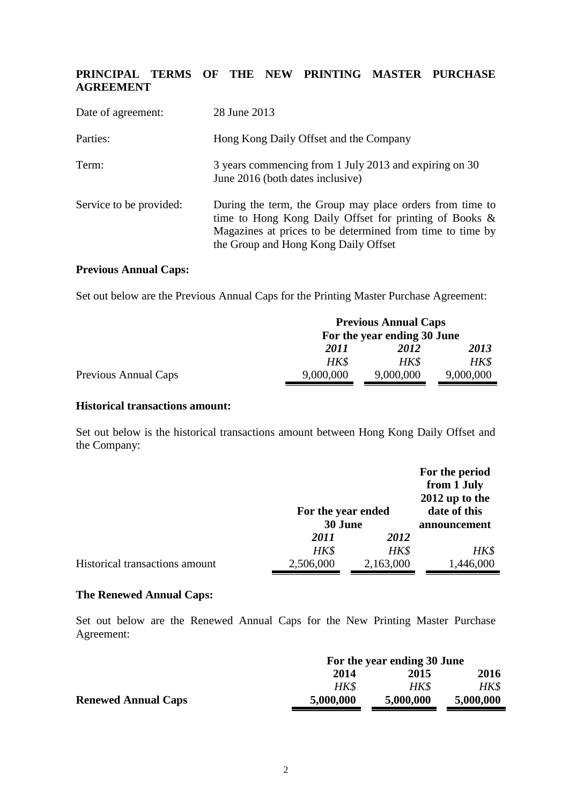# **PRINCIPAL TERMS OF THE NEW PRINTING MASTER PURCHASE AGREEMENT**

| Date of agreement:      | 28 June 2013                                                                                                                                                                                                               |
|-------------------------|----------------------------------------------------------------------------------------------------------------------------------------------------------------------------------------------------------------------------|
| Parties:                | Hong Kong Daily Offset and the Company                                                                                                                                                                                     |
| Term:                   | 3 years commencing from 1 July 2013 and expiring on 30<br>June 2016 (both dates inclusive)                                                                                                                                 |
| Service to be provided: | During the term, the Group may place orders from time to<br>time to Hong Kong Daily Offset for printing of Books $\&$<br>Magazines at prices to be determined from time to time by<br>the Group and Hong Kong Daily Offset |

### **Previous Annual Caps:**

Set out below are the Previous Annual Caps for the Printing Master Purchase Agreement:

|                      |           | <b>Previous Annual Caps</b> |           |
|----------------------|-----------|-----------------------------|-----------|
|                      |           | For the year ending 30 June |           |
|                      | 2011      | 2012                        | 2013      |
|                      | HK\$      | HK\$                        | HK\$      |
| Previous Annual Caps | 9,000,000 | 9,000,000                   | 9,000,000 |

#### **Historical transactions amount:**

Set out below is the historical transactions amount between Hong Kong Daily Offset and the Company:

|                                | For the year ended |           | For the period<br>from 1 July<br>$2012$ up to the<br>date of this |
|--------------------------------|--------------------|-----------|-------------------------------------------------------------------|
|                                |                    |           |                                                                   |
|                                | 30 June            |           | announcement                                                      |
|                                | 2011               | 2012      |                                                                   |
|                                | HK\$               | HK\$      | HK\$                                                              |
| Historical transactions amount | 2,506,000          | 2,163,000 | 1,446,000                                                         |

### **The Renewed Annual Caps:**

Set out below are the Renewed Annual Caps for the New Printing Master Purchase Agreement:

|                            | For the year ending 30 June |           |           |
|----------------------------|-----------------------------|-----------|-----------|
|                            | 2014                        | 2015      | 2016      |
|                            | HK\$                        | HK\$      | HKS       |
| <b>Renewed Annual Caps</b> | 5,000,000                   | 5,000,000 | 5,000,000 |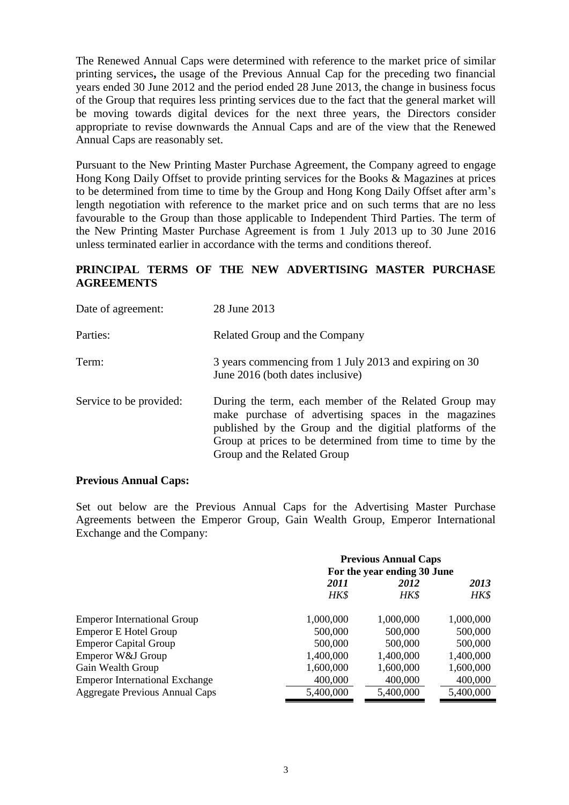The Renewed Annual Caps were determined with reference to the market price of similar printing services**,** the usage of the Previous Annual Cap for the preceding two financial years ended 30 June 2012 and the period ended 28 June 2013, the change in business focus of the Group that requires less printing services due to the fact that the general market will be moving towards digital devices for the next three years, the Directors consider appropriate to revise downwards the Annual Caps and are of the view that the Renewed Annual Caps are reasonably set.

Pursuant to the New Printing Master Purchase Agreement, the Company agreed to engage Hong Kong Daily Offset to provide printing services for the Books & Magazines at prices to be determined from time to time by the Group and Hong Kong Daily Offset after arm's length negotiation with reference to the market price and on such terms that are no less favourable to the Group than those applicable to Independent Third Parties. The term of the New Printing Master Purchase Agreement is from 1 July 2013 up to 30 June 2016 unless terminated earlier in accordance with the terms and conditions thereof.

### **PRINCIPAL TERMS OF THE NEW ADVERTISING MASTER PURCHASE AGREEMENTS**

| Date of agreement:      | 28 June 2013                                                                                                                                                                                                                                                          |
|-------------------------|-----------------------------------------------------------------------------------------------------------------------------------------------------------------------------------------------------------------------------------------------------------------------|
| Parties:                | Related Group and the Company                                                                                                                                                                                                                                         |
| Term:                   | 3 years commencing from 1 July 2013 and expiring on 30<br>June 2016 (both dates inclusive)                                                                                                                                                                            |
| Service to be provided: | During the term, each member of the Related Group may<br>make purchase of advertising spaces in the magazines<br>published by the Group and the digitial platforms of the<br>Group at prices to be determined from time to time by the<br>Group and the Related Group |

### **Previous Annual Caps:**

Set out below are the Previous Annual Caps for the Advertising Master Purchase Agreements between the Emperor Group, Gain Wealth Group, Emperor International Exchange and the Company:

|                                       |           | <b>Previous Annual Caps</b><br>For the year ending 30 June |           |
|---------------------------------------|-----------|------------------------------------------------------------|-----------|
|                                       | 2011      | 2012                                                       | 2013      |
|                                       | HK\$      | HK\$                                                       | HK\$      |
| <b>Emperor International Group</b>    | 1,000,000 | 1,000,000                                                  | 1,000,000 |
| <b>Emperor E Hotel Group</b>          | 500,000   | 500,000                                                    | 500,000   |
| <b>Emperor Capital Group</b>          | 500,000   | 500,000                                                    | 500,000   |
| Emperor W&J Group                     | 1,400,000 | 1,400,000                                                  | 1,400,000 |
| Gain Wealth Group                     | 1,600,000 | 1,600,000                                                  | 1,600,000 |
| <b>Emperor International Exchange</b> | 400,000   | 400,000                                                    | 400,000   |
| Aggregate Previous Annual Caps        | 5,400,000 | 5,400,000                                                  | 5,400,000 |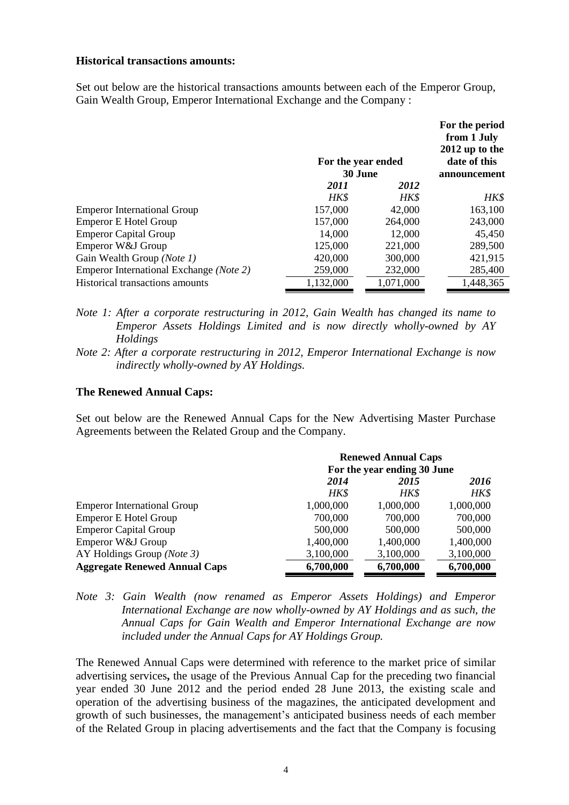### **Historical transactions amounts:**

Set out below are the historical transactions amounts between each of the Emperor Group, Gain Wealth Group, Emperor International Exchange and the Company :

|                                         | For the year ended |           | For the period<br>from 1 July<br>2012 up to the<br>date of this |
|-----------------------------------------|--------------------|-----------|-----------------------------------------------------------------|
|                                         | 30 June            |           | announcement                                                    |
|                                         | 2011               | 2012      |                                                                 |
|                                         | HK\$               | HK\$      | HK\$                                                            |
| <b>Emperor International Group</b>      | 157,000            | 42,000    | 163,100                                                         |
| <b>Emperor E Hotel Group</b>            | 157,000            | 264,000   | 243,000                                                         |
| <b>Emperor Capital Group</b>            | 14,000             | 12,000    | 45,450                                                          |
| Emperor W&J Group                       | 125,000            | 221,000   | 289,500                                                         |
| Gain Wealth Group (Note 1)              | 420,000            | 300,000   | 421,915                                                         |
| Emperor International Exchange (Note 2) | 259,000            | 232,000   | 285,400                                                         |
| Historical transactions amounts         | 1,132,000          | 1,071,000 | 1,448,365                                                       |

- *Note 1: After a corporate restructuring in 2012, Gain Wealth has changed its name to Emperor Assets Holdings Limited and is now directly wholly-owned by AY Holdings*
- *Note 2: After a corporate restructuring in 2012, Emperor International Exchange is now indirectly wholly-owned by AY Holdings.*

#### **The Renewed Annual Caps:**

Set out below are the Renewed Annual Caps for the New Advertising Master Purchase Agreements between the Related Group and the Company.

|                                      |           | <b>Renewed Annual Caps</b>  |           |
|--------------------------------------|-----------|-----------------------------|-----------|
|                                      |           | For the year ending 30 June |           |
|                                      | 2014      | 2015                        | 2016      |
|                                      | HK\$      | HK\$                        | HK\$      |
| <b>Emperor International Group</b>   | 1,000,000 | 1,000,000                   | 1,000,000 |
| <b>Emperor E Hotel Group</b>         | 700,000   | 700,000                     | 700,000   |
| <b>Emperor Capital Group</b>         | 500,000   | 500,000                     | 500,000   |
| Emperor W&J Group                    | 1,400,000 | 1,400,000                   | 1,400,000 |
| AY Holdings Group (Note 3)           | 3,100,000 | 3,100,000                   | 3,100,000 |
| <b>Aggregate Renewed Annual Caps</b> | 6,700,000 | 6,700,000                   | 6,700,000 |

*Note 3: Gain Wealth (now renamed as Emperor Assets Holdings) and Emperor International Exchange are now wholly-owned by AY Holdings and as such, the Annual Caps for Gain Wealth and Emperor International Exchange are now included under the Annual Caps for AY Holdings Group.*

The Renewed Annual Caps were determined with reference to the market price of similar advertising services**,** the usage of the Previous Annual Cap for the preceding two financial year ended 30 June 2012 and the period ended 28 June 2013, the existing scale and operation of the advertising business of the magazines, the anticipated development and growth of such businesses, the management's anticipated business needs of each member of the Related Group in placing advertisements and the fact that the Company is focusing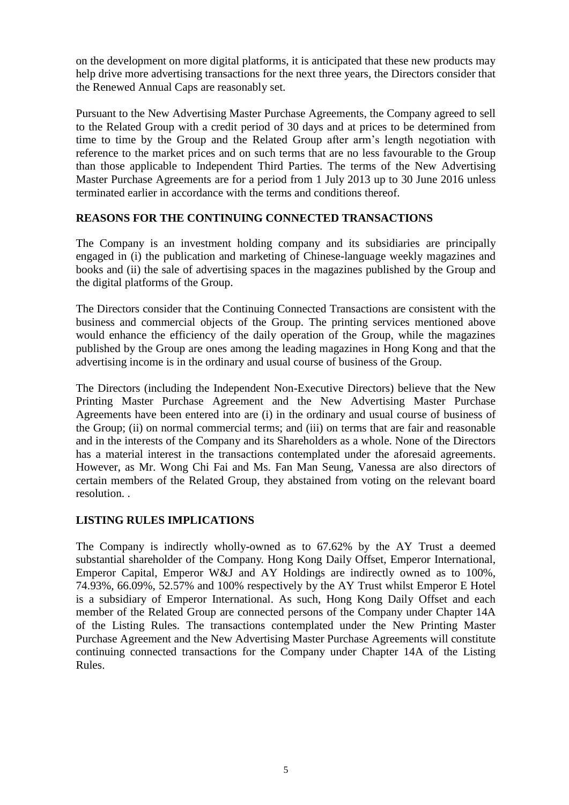on the development on more digital platforms, it is anticipated that these new products may help drive more advertising transactions for the next three years, the Directors consider that the Renewed Annual Caps are reasonably set.

Pursuant to the New Advertising Master Purchase Agreements, the Company agreed to sell to the Related Group with a credit period of 30 days and at prices to be determined from time to time by the Group and the Related Group after arm's length negotiation with reference to the market prices and on such terms that are no less favourable to the Group than those applicable to Independent Third Parties. The terms of the New Advertising Master Purchase Agreements are for a period from 1 July 2013 up to 30 June 2016 unless terminated earlier in accordance with the terms and conditions thereof.

## **REASONS FOR THE CONTINUING CONNECTED TRANSACTIONS**

The Company is an investment holding company and its subsidiaries are principally engaged in (i) the publication and marketing of Chinese-language weekly magazines and books and (ii) the sale of advertising spaces in the magazines published by the Group and the digital platforms of the Group.

The Directors consider that the Continuing Connected Transactions are consistent with the business and commercial objects of the Group. The printing services mentioned above would enhance the efficiency of the daily operation of the Group, while the magazines published by the Group are ones among the leading magazines in Hong Kong and that the advertising income is in the ordinary and usual course of business of the Group.

The Directors (including the Independent Non-Executive Directors) believe that the New Printing Master Purchase Agreement and the New Advertising Master Purchase Agreements have been entered into are (i) in the ordinary and usual course of business of the Group; (ii) on normal commercial terms; and (iii) on terms that are fair and reasonable and in the interests of the Company and its Shareholders as a whole. None of the Directors has a material interest in the transactions contemplated under the aforesaid agreements. However, as Mr. Wong Chi Fai and Ms. Fan Man Seung, Vanessa are also directors of certain members of the Related Group, they abstained from voting on the relevant board resolution. .

## **LISTING RULES IMPLICATIONS**

The Company is indirectly wholly-owned as to 67.62% by the AY Trust a deemed substantial shareholder of the Company. Hong Kong Daily Offset, Emperor International, Emperor Capital, Emperor W&J and AY Holdings are indirectly owned as to 100%, 74.93%, 66.09%, 52.57% and 100% respectively by the AY Trust whilst Emperor E Hotel is a subsidiary of Emperor International. As such, Hong Kong Daily Offset and each member of the Related Group are connected persons of the Company under Chapter 14A of the Listing Rules. The transactions contemplated under the New Printing Master Purchase Agreement and the New Advertising Master Purchase Agreements will constitute continuing connected transactions for the Company under Chapter 14A of the Listing Rules.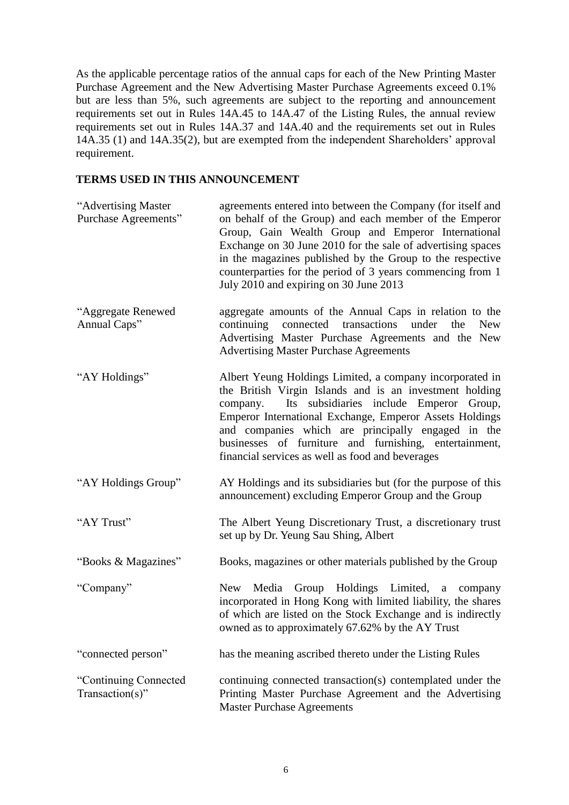As the applicable percentage ratios of the annual caps for each of the New Printing Master Purchase Agreement and the New Advertising Master Purchase Agreements exceed 0.1% but are less than 5%, such agreements are subject to the reporting and announcement requirements set out in Rules 14A.45 to 14A.47 of the Listing Rules, the annual review requirements set out in Rules 14A.37 and 14A.40 and the requirements set out in Rules 14A.35 (1) and 14A.35(2), but are exempted from the independent Shareholders' approval requirement.

### **TERMS USED IN THIS ANNOUNCEMENT**

| "Advertising Master"<br>Purchase Agreements" | agreements entered into between the Company (for itself and<br>on behalf of the Group) and each member of the Emperor<br>Group, Gain Wealth Group and Emperor International<br>Exchange on 30 June 2010 for the sale of advertising spaces<br>in the magazines published by the Group to the respective<br>counterparties for the period of 3 years commencing from 1<br>July 2010 and expiring on 30 June 2013 |
|----------------------------------------------|-----------------------------------------------------------------------------------------------------------------------------------------------------------------------------------------------------------------------------------------------------------------------------------------------------------------------------------------------------------------------------------------------------------------|
| "Aggregate Renewed<br>Annual Caps"           | aggregate amounts of the Annual Caps in relation to the<br>continuing connected transactions<br>under<br>the<br><b>New</b><br>Advertising Master Purchase Agreements and the New<br><b>Advertising Master Purchase Agreements</b>                                                                                                                                                                               |
| "AY Holdings"                                | Albert Yeung Holdings Limited, a company incorporated in<br>the British Virgin Islands and is an investment holding<br>Its subsidiaries include Emperor Group,<br>company.<br>Emperor International Exchange, Emperor Assets Holdings<br>and companies which are principally engaged in the<br>businesses of furniture and furnishing, entertainment,<br>financial services as well as food and beverages       |
| "AY Holdings Group"                          | AY Holdings and its subsidiaries but (for the purpose of this<br>announcement) excluding Emperor Group and the Group                                                                                                                                                                                                                                                                                            |
| "AY Trust"                                   | The Albert Yeung Discretionary Trust, a discretionary trust<br>set up by Dr. Yeung Sau Shing, Albert                                                                                                                                                                                                                                                                                                            |
| "Books & Magazines"                          | Books, magazines or other materials published by the Group                                                                                                                                                                                                                                                                                                                                                      |
| "Company"                                    | Media Group Holdings Limited, a company<br>New<br>incorporated in Hong Kong with limited liability, the shares<br>of which are listed on the Stock Exchange and is indirectly<br>owned as to approximately 67.62% by the AY Trust                                                                                                                                                                               |
| "connected person"                           | has the meaning ascribed thereto under the Listing Rules                                                                                                                                                                                                                                                                                                                                                        |
| "Continuing Connected<br>$Transaction(s)$ "  | continuing connected transaction(s) contemplated under the<br>Printing Master Purchase Agreement and the Advertising<br><b>Master Purchase Agreements</b>                                                                                                                                                                                                                                                       |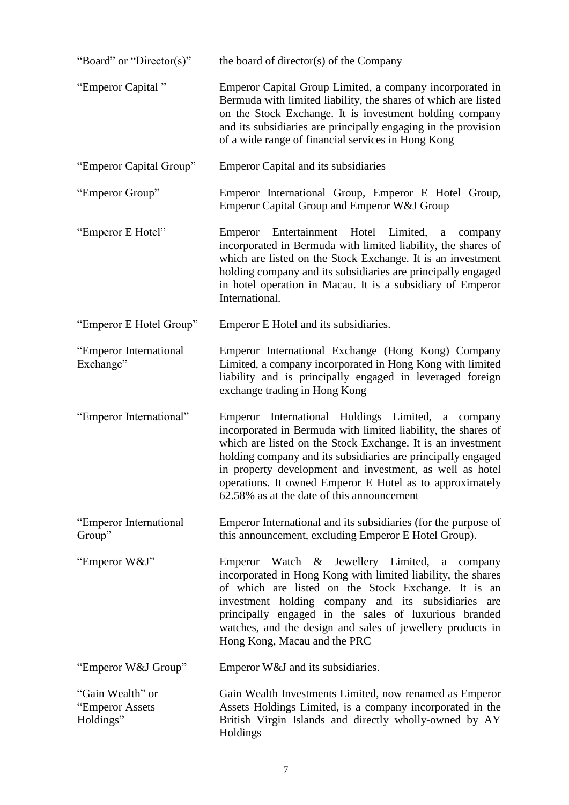| "Board" or "Director(s)"                         | the board of director(s) of the Company                                                                                                                                                                                                                                                                                                                                                                                 |
|--------------------------------------------------|-------------------------------------------------------------------------------------------------------------------------------------------------------------------------------------------------------------------------------------------------------------------------------------------------------------------------------------------------------------------------------------------------------------------------|
| "Emperor Capital"                                | Emperor Capital Group Limited, a company incorporated in<br>Bermuda with limited liability, the shares of which are listed<br>on the Stock Exchange. It is investment holding company<br>and its subsidiaries are principally engaging in the provision<br>of a wide range of financial services in Hong Kong                                                                                                           |
| "Emperor Capital Group"                          | <b>Emperor Capital and its subsidiaries</b>                                                                                                                                                                                                                                                                                                                                                                             |
| "Emperor Group"                                  | Emperor International Group, Emperor E Hotel Group,<br>Emperor Capital Group and Emperor W&J Group                                                                                                                                                                                                                                                                                                                      |
| "Emperor E Hotel"                                | Emperor Entertainment Hotel Limited,<br>a<br>company<br>incorporated in Bermuda with limited liability, the shares of<br>which are listed on the Stock Exchange. It is an investment<br>holding company and its subsidiaries are principally engaged<br>in hotel operation in Macau. It is a subsidiary of Emperor<br>International.                                                                                    |
| "Emperor E Hotel Group"                          | Emperor E Hotel and its subsidiaries.                                                                                                                                                                                                                                                                                                                                                                                   |
| "Emperor International<br>Exchange"              | Emperor International Exchange (Hong Kong) Company<br>Limited, a company incorporated in Hong Kong with limited<br>liability and is principally engaged in leveraged foreign<br>exchange trading in Hong Kong                                                                                                                                                                                                           |
| "Emperor International"                          | Emperor International Holdings Limited, a company<br>incorporated in Bermuda with limited liability, the shares of<br>which are listed on the Stock Exchange. It is an investment<br>holding company and its subsidiaries are principally engaged<br>in property development and investment, as well as hotel<br>operations. It owned Emperor E Hotel as to approximately<br>62.58% as at the date of this announcement |
| "Emperor International<br>Group"                 | Emperor International and its subsidiaries (for the purpose of<br>this announcement, excluding Emperor E Hotel Group).                                                                                                                                                                                                                                                                                                  |
| "Emperor W&J"                                    | Emperor Watch & Jewellery Limited, a company<br>incorporated in Hong Kong with limited liability, the shares<br>of which are listed on the Stock Exchange. It is an<br>investment holding company and its subsidiaries are<br>principally engaged in the sales of luxurious branded<br>watches, and the design and sales of jewellery products in<br>Hong Kong, Macau and the PRC                                       |
| "Emperor W&J Group"                              | Emperor W&J and its subsidiaries.                                                                                                                                                                                                                                                                                                                                                                                       |
| "Gain Wealth" or<br>"Emperor Assets<br>Holdings" | Gain Wealth Investments Limited, now renamed as Emperor<br>Assets Holdings Limited, is a company incorporated in the<br>British Virgin Islands and directly wholly-owned by AY<br>Holdings                                                                                                                                                                                                                              |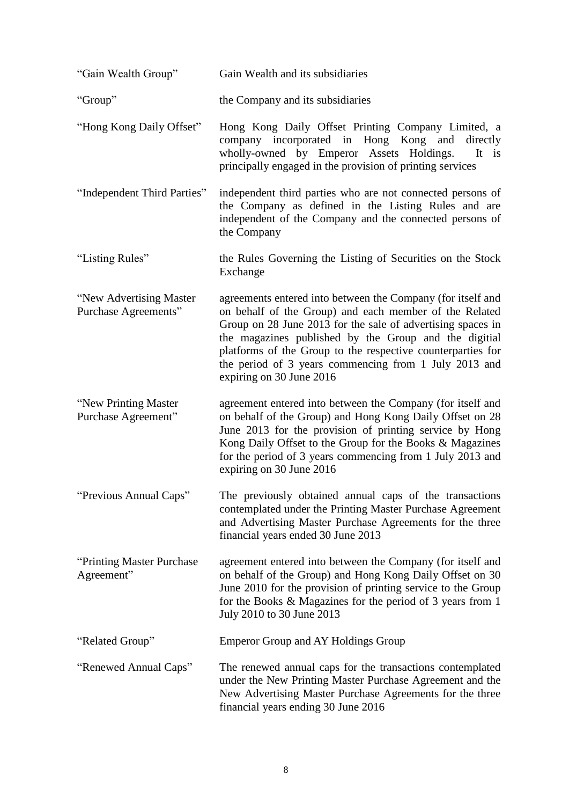| "Gain Wealth Group"                              | Gain Wealth and its subsidiaries                                                                                                                                                                                                                                                                                                                                                                  |
|--------------------------------------------------|---------------------------------------------------------------------------------------------------------------------------------------------------------------------------------------------------------------------------------------------------------------------------------------------------------------------------------------------------------------------------------------------------|
| "Group"                                          | the Company and its subsidiaries                                                                                                                                                                                                                                                                                                                                                                  |
| "Hong Kong Daily Offset"                         | Hong Kong Daily Offset Printing Company Limited, a<br>company incorporated in Hong Kong and<br>directly<br>wholly-owned by Emperor Assets Holdings.<br>It is<br>principally engaged in the provision of printing services                                                                                                                                                                         |
| "Independent Third Parties"                      | independent third parties who are not connected persons of<br>the Company as defined in the Listing Rules and are<br>independent of the Company and the connected persons of<br>the Company                                                                                                                                                                                                       |
| "Listing Rules"                                  | the Rules Governing the Listing of Securities on the Stock<br>Exchange                                                                                                                                                                                                                                                                                                                            |
| "New Advertising Master"<br>Purchase Agreements" | agreements entered into between the Company (for itself and<br>on behalf of the Group) and each member of the Related<br>Group on 28 June 2013 for the sale of advertising spaces in<br>the magazines published by the Group and the digitial<br>platforms of the Group to the respective counterparties for<br>the period of 3 years commencing from 1 July 2013 and<br>expiring on 30 June 2016 |
| "New Printing Master"<br>Purchase Agreement"     | agreement entered into between the Company (for itself and<br>on behalf of the Group) and Hong Kong Daily Offset on 28<br>June 2013 for the provision of printing service by Hong<br>Kong Daily Offset to the Group for the Books & Magazines<br>for the period of 3 years commencing from 1 July 2013 and<br>expiring on 30 June 2016                                                            |
| "Previous Annual Caps"                           | The previously obtained annual caps of the transactions<br>contemplated under the Printing Master Purchase Agreement<br>and Advertising Master Purchase Agreements for the three<br>financial years ended 30 June 2013                                                                                                                                                                            |
| "Printing Master Purchase"<br>Agreement"         | agreement entered into between the Company (for itself and<br>on behalf of the Group) and Hong Kong Daily Offset on 30<br>June 2010 for the provision of printing service to the Group<br>for the Books $& Magazines$ for the period of 3 years from 1<br>July 2010 to 30 June 2013                                                                                                               |
| "Related Group"                                  | <b>Emperor Group and AY Holdings Group</b>                                                                                                                                                                                                                                                                                                                                                        |
| "Renewed Annual Caps"                            | The renewed annual caps for the transactions contemplated<br>under the New Printing Master Purchase Agreement and the<br>New Advertising Master Purchase Agreements for the three<br>financial years ending 30 June 2016                                                                                                                                                                          |